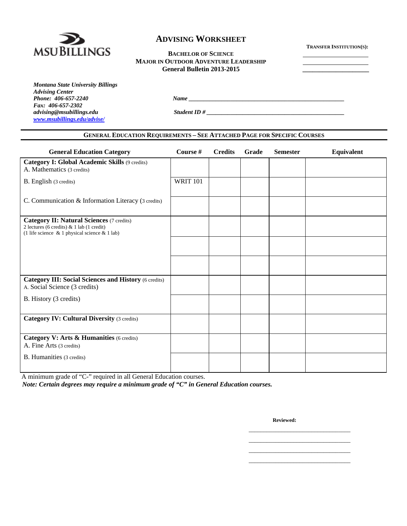

#### **BACHELOR OF SCIENCE MAJOR IN OUTDOOR ADVENTURE LEADERSHIP General Bulletin 2013-2015 \_\_\_\_\_\_\_\_\_\_\_\_\_\_\_\_\_\_\_\_**

| Montana State University Billings |
|-----------------------------------|
| <b>Advising Center</b>            |
| Phone: 406-657-2240               |
| Fax: 406-657-2302                 |
| advising@msubillings.edu          |
| www.msubillings.edu/advise/       |

*Phone: 406-657-2240 Name \_\_\_\_\_\_\_\_\_\_\_\_\_\_\_\_\_\_\_\_\_\_\_\_\_\_\_\_\_\_\_\_\_\_\_\_\_\_\_\_\_\_\_\_\_\_\_\_\_\_\_\_* 

 $Student$  *ID #*  $\qquad$ 

# **GENERAL EDUCATION REQUIREMENTS – SEE ATTACHED PAGE FOR SPECIFIC COURSES**

| <b>General Education Category</b>                                                                                                                    | Course #        | <b>Credits</b> | Grade | <b>Semester</b> | Equivalent |
|------------------------------------------------------------------------------------------------------------------------------------------------------|-----------------|----------------|-------|-----------------|------------|
| <b>Category I: Global Academic Skills (9 credits)</b><br>A. Mathematics (3 credits)                                                                  |                 |                |       |                 |            |
| B. English (3 credits)                                                                                                                               | <b>WRIT 101</b> |                |       |                 |            |
| C. Communication & Information Literacy (3 credits)                                                                                                  |                 |                |       |                 |            |
| <b>Category II: Natural Sciences (7 credits)</b><br>2 lectures (6 credits) & 1 lab (1 credit)<br>(1 life science $\&$ 1 physical science $\&$ 1 lab) |                 |                |       |                 |            |
|                                                                                                                                                      |                 |                |       |                 |            |
|                                                                                                                                                      |                 |                |       |                 |            |
| <b>Category III: Social Sciences and History (6 credits)</b><br>A. Social Science (3 credits)                                                        |                 |                |       |                 |            |
| B. History (3 credits)                                                                                                                               |                 |                |       |                 |            |
| <b>Category IV: Cultural Diversity (3 credits)</b>                                                                                                   |                 |                |       |                 |            |
| Category V: Arts & Humanities (6 credits)<br>A. Fine Arts (3 credits)                                                                                |                 |                |       |                 |            |
| B. Humanities (3 credits)                                                                                                                            |                 |                |       |                 |            |

 $\overline{\phantom{a}}$  , and the contract of the contract of the contract of the contract of the contract of the contract of the contract of the contract of the contract of the contract of the contract of the contract of the contrac  $\overline{\phantom{a}}$  , and the contract of the contract of the contract of the contract of the contract of the contract of the contract of the contract of the contract of the contract of the contract of the contract of the contrac  $\overline{\phantom{a}}$  , and the contract of the contract of the contract of the contract of the contract of the contract of the contract of the contract of the contract of the contract of the contract of the contract of the contrac  $\overline{\phantom{a}}$  , and the contract of the contract of the contract of the contract of the contract of the contract of the contract of the contract of the contract of the contract of the contract of the contract of the contrac

 A minimum grade of "C-" required in all General Education courses. *Note: Certain degrees may require a minimum grade of "C" in General Education courses.* 

**Reviewed:**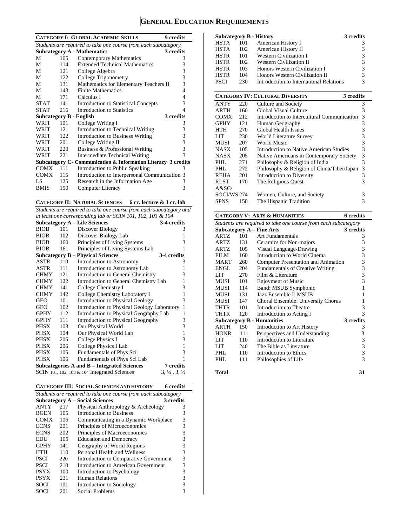# **GENERAL EDUCATION REQUIREMENTS**

|                                                                |      | <b>CATEGORY I: GLOBAL ACADEMIC SKILLS</b>                     | <b>9</b> credits |  |  |
|----------------------------------------------------------------|------|---------------------------------------------------------------|------------------|--|--|
| Students are required to take one course from each subcategory |      |                                                               |                  |  |  |
|                                                                |      | <b>Subcategory A - Mathematics</b>                            | 3 credits        |  |  |
| M                                                              | 105  | Contemporary Mathematics                                      | 3                |  |  |
| M                                                              | 114  | <b>Extended Technical Mathematics</b>                         | 3                |  |  |
| М                                                              | 121  | College Algebra                                               | 3                |  |  |
| М                                                              | 122  | College Trigonometry                                          | 3                |  |  |
| M                                                              | 131  | Mathematics for Elementary Teachers II                        | 3                |  |  |
| M                                                              | 143  | <b>Finite Mathematics</b>                                     | 4                |  |  |
| М                                                              | 171  | Calculus I                                                    | 4                |  |  |
| STAT                                                           | 141  | <b>Introduction to Statistical Concepts</b>                   | 3                |  |  |
| <b>STAT</b>                                                    | 216  | Introduction to Statistics                                    | 4                |  |  |
|                                                                |      | <b>Subcategory B - English</b>                                | 3 credits        |  |  |
| WRIT                                                           | 101  | College Writing I                                             | 3                |  |  |
| WRIT                                                           | 121  | Introduction to Technical Writing                             | 3                |  |  |
| WRIT                                                           | 122. | Introduction to Business Writing                              | 3                |  |  |
| WRIT                                                           | 201  | College Writing II                                            | 3                |  |  |
| WRIT                                                           | 220  | Business & Professional Writing                               | 3                |  |  |
| WRIT                                                           | 221  | Intermediate Technical Writing                                | 3                |  |  |
|                                                                |      | Subcategory C- Communication & Information Literacy 3 credits |                  |  |  |
| <b>COMX</b>                                                    | 111  | Introduction to Public Speaking                               | 3                |  |  |
| <b>COMX</b>                                                    | 115  | Introduction to Interpersonal Communication                   | 3                |  |  |
| LS                                                             | 125  | Research in the Information Age                               | 3                |  |  |
| <b>BMIS</b>                                                    | 150  | Computer Literacy                                             | 3                |  |  |
|                                                                |      |                                                               |                  |  |  |

**CATEGORY II: NATURAL SCIENCES 6 cr. lecture & 1 cr. lab** 

*Students are required to take one course from each subcategory and at least one corresponding lab or SCIN 101, 102, 103 & 104* 

| at least one corresponaing tab or SCIN 101, 102, 103 & 104      |                                                     |                                                |                                  |  |  |  |  |
|-----------------------------------------------------------------|-----------------------------------------------------|------------------------------------------------|----------------------------------|--|--|--|--|
|                                                                 | <b>Subcategory A - Life Sciences</b><br>3-4 credits |                                                |                                  |  |  |  |  |
| <b>BIOB</b>                                                     | 101                                                 | Discover Biology                               | 3                                |  |  |  |  |
| <b>BIOB</b>                                                     | 102                                                 | Discover Biology Lab                           | 1                                |  |  |  |  |
| <b>BIOB</b>                                                     | 160                                                 | Principles of Living Systems                   | 3                                |  |  |  |  |
| <b>BIOB</b>                                                     | 161                                                 | Principles of Living Systems Lab               | 1                                |  |  |  |  |
| 3-4 credits<br><b>Subcategory B – Physical Sciences</b>         |                                                     |                                                |                                  |  |  |  |  |
| ASTR                                                            | 110                                                 | Introduction to Astronomy                      | 3                                |  |  |  |  |
| ASTR                                                            | 111                                                 | Introduction to Astronomy Lab                  | 1                                |  |  |  |  |
| <b>CHMY</b>                                                     | 121                                                 | <b>Introduction to General Chemistry</b>       | 3                                |  |  |  |  |
| <b>CHMY</b>                                                     | 122                                                 | Introduction to General Chemistry Lab          | 1                                |  |  |  |  |
| <b>CHMY</b>                                                     | 141                                                 | College Chemistry I                            | 3                                |  |  |  |  |
| <b>CHMY</b>                                                     | 142                                                 | College Chemistry Laboratory I                 | 1                                |  |  |  |  |
| GEO                                                             | 101                                                 | <b>Introduction to Physical Geology</b>        | 3                                |  |  |  |  |
| <b>GEO</b>                                                      | 102                                                 | Introduction to Physical Geology Laboratory    | $\mathbf{1}$                     |  |  |  |  |
| <b>GPHY</b>                                                     | 112                                                 | Introduction to Physical Geography Lab         | 1                                |  |  |  |  |
| <b>GPHY</b>                                                     | 111                                                 | Introduction to Physical Geography             | 3                                |  |  |  |  |
| PHSX                                                            | 103                                                 | Our Physical World                             | 3                                |  |  |  |  |
| PHSX                                                            | 104                                                 | Our Physical World Lab                         | 1                                |  |  |  |  |
| PHSX                                                            | 205                                                 | <b>College Physics I</b>                       | 3                                |  |  |  |  |
| <b>PHSX</b>                                                     | 206                                                 | College Physics I Lab                          | 1                                |  |  |  |  |
| <b>PHSX</b>                                                     | 105                                                 | Fundamentals of Phys Sci                       | 3                                |  |  |  |  |
| <b>PHSX</b>                                                     | 106                                                 | Fundamentals of Phys Sci Lab                   | 1                                |  |  |  |  |
| 7 credits<br><b>Subcategories A and B - Integrated Sciences</b> |                                                     |                                                |                                  |  |  |  |  |
|                                                                 |                                                     | SCIN 101, 102, 103 $& 104$ Integrated Sciences | $3, \frac{1}{2}, 3, \frac{1}{2}$ |  |  |  |  |

|  | <b>CATEGORY III: SOCIAL SCIENCES AND HISTORY</b> | 6 credits |
|--|--------------------------------------------------|-----------|
|--|--------------------------------------------------|-----------|

| Students are required to take one course from each subcategory |                                                     |                                        |   |  |  |  |  |
|----------------------------------------------------------------|-----------------------------------------------------|----------------------------------------|---|--|--|--|--|
|                                                                | <b>Subcategory A – Social Sciences</b><br>3 credits |                                        |   |  |  |  |  |
| <b>ANTY</b>                                                    | 217                                                 | Physical Anthropology & Archeology     | 3 |  |  |  |  |
| <b>BGEN</b>                                                    | 105                                                 | <b>Introduction to Business</b>        | 3 |  |  |  |  |
| <b>COMX</b>                                                    | 106                                                 | Communicating in a Dynamic Workplace   | 3 |  |  |  |  |
| <b>ECNS</b>                                                    | 201                                                 | Principles of Microeconomics           | 3 |  |  |  |  |
| <b>ECNS</b>                                                    | 202                                                 | Principles of Macroeconomics           | 3 |  |  |  |  |
| EDU                                                            | 105                                                 | <b>Education and Democracy</b>         | 3 |  |  |  |  |
| <b>GPHY</b>                                                    | 141                                                 | Geography of World Regions             | 3 |  |  |  |  |
| HTH                                                            | 110                                                 | Personal Health and Wellness           | 3 |  |  |  |  |
| <b>PSCI</b>                                                    | 220                                                 | Introduction to Comparative Government | 3 |  |  |  |  |
| <b>PSCI</b>                                                    | 210                                                 | Introduction to American Government    | 3 |  |  |  |  |
| <b>PSYX</b>                                                    | 100                                                 | Introduction to Psychology             | 3 |  |  |  |  |
| <b>PSYX</b>                                                    | 231                                                 | Human Relations                        | 3 |  |  |  |  |
| SOCI                                                           | 101                                                 | Introduction to Sociology              | 3 |  |  |  |  |
| SOCI                                                           | 201                                                 | Social Problems                        | 3 |  |  |  |  |

|      |     | Subcategory B - History                 | 3 credits |
|------|-----|-----------------------------------------|-----------|
| HSTA | 101 | American History I                      |           |
| HSTA | 102 | American History II                     | 3         |
| HSTR | 101 | <b>Western Civilization I</b>           | 3         |
| HSTR | 102 | <b>Western Civilization II</b>          | 3         |
| HSTR | 103 | Honors Western Civilization I           | 3         |
| HSTR | 104 | Honors Western Civilization II          | 3         |
| PSCI | 230 | Introduction to International Relations | 3         |

|             |     | <b>CATEGORY IV: CULTURAL DIVERSITY</b>      | 3 credits |
|-------------|-----|---------------------------------------------|-----------|
| <b>ANTY</b> | 220 | Culture and Society                         | 3         |
| ARTH        | 160 | Global Visual Culture                       | 3         |
| <b>COMX</b> | 212 | Introduction to Intercultural Communication | 3         |
| <b>GPHY</b> | 121 | Human Geography                             | 3         |
| <b>HTH</b>  | 270 | Global Health Issues                        | 3         |
| LIT         | 230 | World Literature Survey                     | 3         |
| MUSI        | 207 | World Music                                 | 3         |
| <b>NASX</b> | 105 | Introduction to Native American Studies     | 3         |
| <b>NASX</b> | 205 | Native Americans in Contemporary Society    | 3         |
| PHL         | 271 | Philosophy & Religion of India              | 3         |
| PHL.        | 272 | Philosophy & Religion of China/Tibet/Japan  | 3         |
| <b>REHA</b> | 201 | Introduction to Diversity                   | 3         |
| <b>RLST</b> | 170 | The Religious Quest                         | 3         |
| A&SC/       |     |                                             |           |
| SOCI/WS 274 |     | Women, Culture, and Society                 | 3         |
| <b>SPNS</b> | 150 | The Hispanic Tradition                      | 3         |

|                                               |                                                                | <b>CATEGORY V: ARTS &amp; HUMANITIES</b> | 6 credits      |  |  |  |  |
|-----------------------------------------------|----------------------------------------------------------------|------------------------------------------|----------------|--|--|--|--|
|                                               | Students are required to take one course from each subcategory |                                          |                |  |  |  |  |
| <b>Subcategory A - Fine Arts</b><br>3 credits |                                                                |                                          |                |  |  |  |  |
| ARTZ                                          | 101                                                            | <b>Art Fundamentals</b>                  | 3              |  |  |  |  |
| ARTZ                                          | 131                                                            | Ceramics for Non-majors                  | 3              |  |  |  |  |
| <b>ARTZ</b>                                   | 105                                                            | Visual Language-Drawing                  | $\frac{3}{3}$  |  |  |  |  |
| FILM                                          | 160                                                            | Introduction to World Cinema             |                |  |  |  |  |
| <b>MART</b>                                   | 260                                                            | Computer Presentation and Animation      | 3              |  |  |  |  |
| ENGL                                          | 204                                                            | <b>Fundamentals of Creative Writing</b>  | 3              |  |  |  |  |
| LIT                                           | 270                                                            | Film & Literature                        | 3              |  |  |  |  |
| MUSI                                          | 101                                                            | <b>Enjoyment of Music</b>                | 3              |  |  |  |  |
| <b>MUSI</b>                                   | 114                                                            | Band: MSUB Symphonic                     | 1              |  |  |  |  |
| MUSI                                          | 131                                                            | Jazz Ensemble I: MSUB                    | 1              |  |  |  |  |
| MUSI                                          | 147                                                            | Choral Ensemble: University Chorus       | 1              |  |  |  |  |
| THTR                                          | 101                                                            | Introduction to Theatre                  | 3              |  |  |  |  |
| THTR                                          | 120                                                            | Introduction to Acting I                 | 3              |  |  |  |  |
|                                               |                                                                | <b>Subcategory B - Humanities</b>        | 3 credits      |  |  |  |  |
| <b>ARTH</b>                                   | 150                                                            | Introduction to Art History              | 3              |  |  |  |  |
| <b>HONR</b>                                   | 111                                                            | Perspectives and Understanding           | 3              |  |  |  |  |
| LIT                                           | 110                                                            | Introduction to Literature               | 3              |  |  |  |  |
| LIT                                           | 240                                                            | The Bible as Literature                  | $\frac{3}{3}$  |  |  |  |  |
| PHI.                                          | 110                                                            | Introduction to Ethics                   |                |  |  |  |  |
| PHL                                           | 111                                                            | Philosophies of Life                     | $\overline{3}$ |  |  |  |  |
| Total                                         |                                                                |                                          | 31             |  |  |  |  |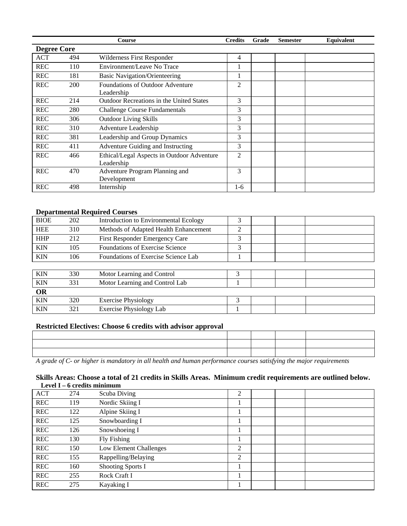|                    |            | <b>Course</b>                                            | <b>Credits</b> | Grade | <b>Semester</b> | <b>Equivalent</b> |
|--------------------|------------|----------------------------------------------------------|----------------|-------|-----------------|-------------------|
| <b>Degree Core</b> |            |                                                          |                |       |                 |                   |
| <b>ACT</b>         | 494        | Wilderness First Responder                               | 4              |       |                 |                   |
| <b>REC</b>         | 110        | Environment/Leave No Trace                               | 1              |       |                 |                   |
| <b>REC</b>         | 181        | <b>Basic Navigation/Orienteering</b>                     | ı              |       |                 |                   |
| <b>REC</b>         | <b>200</b> | <b>Foundations of Outdoor Adventure</b><br>Leadership    | 2              |       |                 |                   |
| <b>REC</b>         | 214        | <b>Outdoor Recreations in the United States</b>          | 3              |       |                 |                   |
| <b>REC</b>         | 280        | <b>Challenge Course Fundamentals</b>                     | 3              |       |                 |                   |
| <b>REC</b>         | 306        | <b>Outdoor Living Skills</b>                             | 3              |       |                 |                   |
| <b>REC</b>         | 310        | Adventure Leadership                                     | 3              |       |                 |                   |
| <b>REC</b>         | 381        | Leadership and Group Dynamics                            | 3              |       |                 |                   |
| <b>REC</b>         | 411        | Adventure Guiding and Instructing                        | 3              |       |                 |                   |
| <b>REC</b>         | 466        | Ethical/Legal Aspects in Outdoor Adventure<br>Leadership | $\overline{2}$ |       |                 |                   |
| <b>REC</b>         | 470        | Adventure Program Planning and<br>Development            | 3              |       |                 |                   |
| <b>REC</b>         | 498        | Internship                                               | 1-6            |       |                 |                   |

# **Departmental Required Courses**

| <b>BIOE</b> | 202 | <b>Introduction to Environmental Ecology</b> | 3 |  |  |
|-------------|-----|----------------------------------------------|---|--|--|
| <b>HEE</b>  | 310 | Methods of Adapted Health Enhancement        | 2 |  |  |
| <b>HHP</b>  | 212 | First Responder Emergency Care               | 3 |  |  |
| <b>KIN</b>  | 105 | Foundations of Exercise Science              | 3 |  |  |
| <b>KIN</b>  | 106 | Foundations of Exercise Science Lab          |   |  |  |
|             |     |                                              |   |  |  |
| <b>KIN</b>  | 330 | Motor Learning and Control                   |   |  |  |
| <b>KIN</b>  | 331 | Motor Learning and Control Lab               |   |  |  |
| <b>OR</b>   |     |                                              |   |  |  |
| <b>KIN</b>  | 320 | <b>Exercise Physiology</b>                   | 3 |  |  |
| <b>KIN</b>  | 321 | Exercise Physiology Lab                      |   |  |  |

# **Restricted Electives: Choose 6 credits with advisor approval**

| the contract of the contract of the contract of the contract of the contract of the contract of the contract of |  |  |
|-----------------------------------------------------------------------------------------------------------------|--|--|
| ,我们也不会不会不会不会不会不会不会不会不会不会不会不会不会不会。""我们的是我们的,我们也不会不会不会不会不会不会。""我们的是我们的,我们也不会不会不会不会                                |  |  |
| the control of the control of the control of the control of the control of the control of                       |  |  |

*A grade of C- or higher is mandatory in all health and human performance courses satisfying the major requirements* 

# **Skills Areas: Choose a total of 21 credits in Skills Areas. Minimum credit requirements are outlined below. Level I – 6 credits minimum**

| <b>ACT</b> | 274 | Scuba Diving           | $\overline{2}$ |  |  |
|------------|-----|------------------------|----------------|--|--|
| <b>REC</b> | 119 | Nordic Skiing I        |                |  |  |
| <b>REC</b> | 122 | Alpine Skiing I        |                |  |  |
| <b>REC</b> | 125 | Snowboarding I         |                |  |  |
| <b>REC</b> | 126 | Snowshoeing I          |                |  |  |
| <b>REC</b> | 130 | Fly Fishing            |                |  |  |
| <b>REC</b> | 150 | Low Element Challenges | $\overline{2}$ |  |  |
| <b>REC</b> | 155 | Rappelling/Belaying    | $\overline{2}$ |  |  |
| <b>REC</b> | 160 | Shooting Sports I      |                |  |  |
| <b>REC</b> | 255 | Rock Craft I           |                |  |  |
| <b>REC</b> | 275 | Kayaking I             |                |  |  |